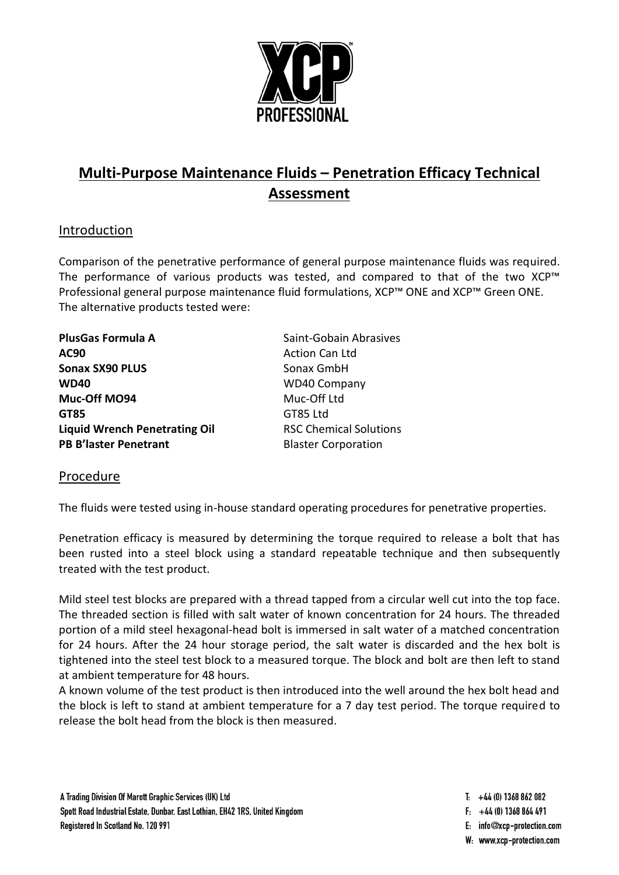

# **Multi-Purpose Maintenance Fluids – Penetration Efficacy Technical Assessment**

## Introduction

Comparison of the penetrative performance of general purpose maintenance fluids was required. The performance of various products was tested, and compared to that of the two XCP™ Professional general purpose maintenance fluid formulations, XCP™ ONE and XCP™ Green ONE. The alternative products tested were:

| <b>PlusGas Formula A</b>             | Saint-Gobain Abrasives        |
|--------------------------------------|-------------------------------|
| AC90                                 | <b>Action Can Ltd</b>         |
| <b>Sonax SX90 PLUS</b>               | Sonax GmbH                    |
| <b>WD40</b>                          | <b>WD40 Company</b>           |
| Muc-Off MO94                         | Muc-Off Ltd                   |
| GT85                                 | GT85 Ltd                      |
| <b>Liquid Wrench Penetrating Oil</b> | <b>RSC Chemical Solutions</b> |
| <b>PB B'laster Penetrant</b>         | <b>Blaster Corporation</b>    |
|                                      |                               |

#### Procedure

The fluids were tested using in-house standard operating procedures for penetrative properties.

Penetration efficacy is measured by determining the torque required to release a bolt that has been rusted into a steel block using a standard repeatable technique and then subsequently treated with the test product.

Mild steel test blocks are prepared with a thread tapped from a circular well cut into the top face. The threaded section is filled with salt water of known concentration for 24 hours. The threaded portion of a mild steel hexagonal-head bolt is immersed in salt water of a matched concentration for 24 hours. After the 24 hour storage period, the salt water is discarded and the hex bolt is tightened into the steel test block to a measured torque. The block and bolt are then left to stand at ambient temperature for 48 hours.

A known volume of the test product is then introduced into the well around the hex bolt head and the block is left to stand at ambient temperature for a 7 day test period. The torque required to release the bolt head from the block is then measured.

- $T_1$  +44 (0) 1368 862 082
- $F_1$  +44 (0) 1368 864 491
- E: info@xcp-protection.com
- W: www.xcp-protection.com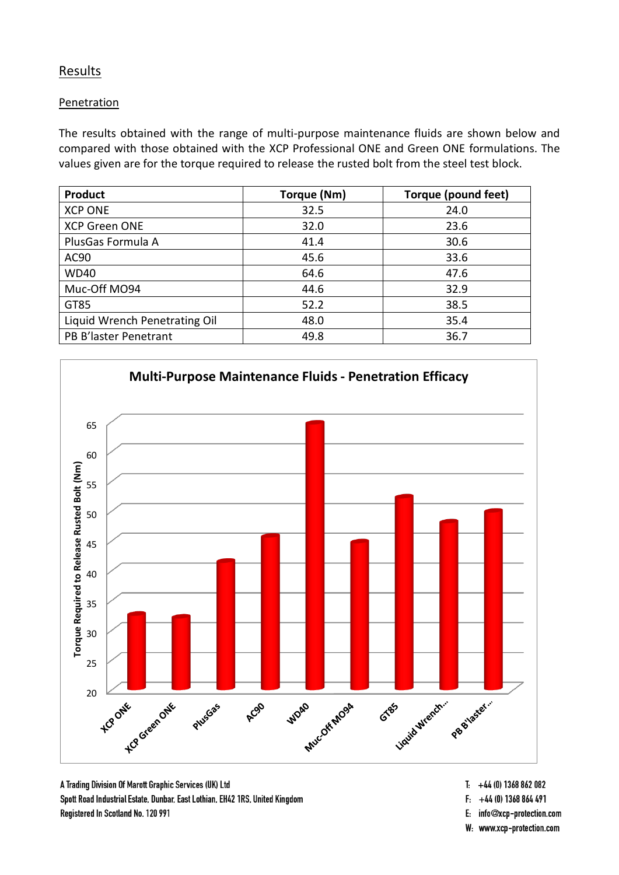### **Results**

#### Penetration

The results obtained with the range of multi-purpose maintenance fluids are shown below and compared with those obtained with the XCP Professional ONE and Green ONE formulations. The values given are for the torque required to release the rusted bolt from the steel test block.

| <b>Product</b>                | Torque (Nm) | Torque (pound feet) |
|-------------------------------|-------------|---------------------|
| <b>XCP ONE</b>                | 32.5        | 24.0                |
| <b>XCP Green ONE</b>          | 32.0        | 23.6                |
| PlusGas Formula A             | 41.4        | 30.6                |
| AC90                          | 45.6        | 33.6                |
| <b>WD40</b>                   | 64.6        | 47.6                |
| Muc-Off MO94                  | 44.6        | 32.9                |
| GT85                          | 52.2        | 38.5                |
| Liquid Wrench Penetrating Oil | 48.0        | 35.4                |
| PB B'laster Penetrant         | 49.8        | 36.7                |



A Trading Division Of Marott Graphic Services (UK) Ltd Spott Road Industrial Estate, Dunbar, East Lothian, EH42 1RS, United Kingdom Registered In Scotland No. 120 991

- $T_1$  +44 (0) 1368 862 082
- $F: +44(0)$  1368 864 491
- E: info@xcp-protection.com
- W: www.xcp-protection.com